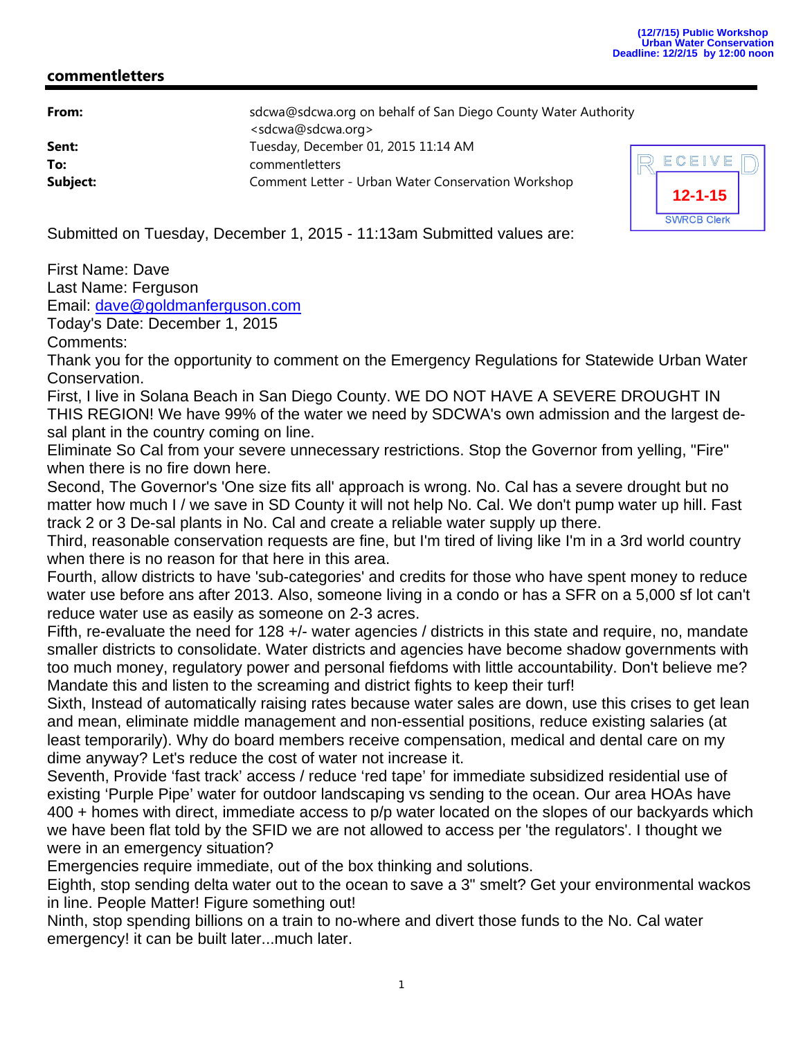## **commentletters**

| From:    | sdcwa@sdcwa.org on behalf of San Diego County Water Authority |   |
|----------|---------------------------------------------------------------|---|
|          | <sdcwa@sdcwa.org></sdcwa@sdcwa.org>                           |   |
| Sent:    | Tuesday, December 01, 2015 11:14 AM                           |   |
| To:      | commentletters                                                | F |
| Subject: | Comment Letter - Urban Water Conservation Workshop            |   |



Submitted on Tuesday, December 1, 2015 - 11:13am Submitted values are:

First Name: Dave Last Name: Ferguson Email: dave@goldmanferguson.com

Today's Date: December 1, 2015

Comments:

Thank you for the opportunity to comment on the Emergency Regulations for Statewide Urban Water Conservation.

First, I live in Solana Beach in San Diego County. WE DO NOT HAVE A SEVERE DROUGHT IN THIS REGION! We have 99% of the water we need by SDCWA's own admission and the largest desal plant in the country coming on line.

Eliminate So Cal from your severe unnecessary restrictions. Stop the Governor from yelling, "Fire" when there is no fire down here.

Second, The Governor's 'One size fits all' approach is wrong. No. Cal has a severe drought but no matter how much I / we save in SD County it will not help No. Cal. We don't pump water up hill. Fast track 2 or 3 De-sal plants in No. Cal and create a reliable water supply up there.

Third, reasonable conservation requests are fine, but I'm tired of living like I'm in a 3rd world country when there is no reason for that here in this area.

Fourth, allow districts to have 'sub-categories' and credits for those who have spent money to reduce water use before ans after 2013. Also, someone living in a condo or has a SFR on a 5,000 sf lot can't reduce water use as easily as someone on 2-3 acres.

Fifth, re-evaluate the need for 128 +/- water agencies / districts in this state and require, no, mandate smaller districts to consolidate. Water districts and agencies have become shadow governments with too much money, regulatory power and personal fiefdoms with little accountability. Don't believe me? Mandate this and listen to the screaming and district fights to keep their turf!

Sixth, Instead of automatically raising rates because water sales are down, use this crises to get lean and mean, eliminate middle management and non-essential positions, reduce existing salaries (at least temporarily). Why do board members receive compensation, medical and dental care on my dime anyway? Let's reduce the cost of water not increase it.

Seventh, Provide 'fast track' access / reduce 'red tape' for immediate subsidized residential use of existing 'Purple Pipe' water for outdoor landscaping vs sending to the ocean. Our area HOAs have 400 + homes with direct, immediate access to p/p water located on the slopes of our backyards which we have been flat told by the SFID we are not allowed to access per 'the regulators'. I thought we were in an emergency situation?

Emergencies require immediate, out of the box thinking and solutions.

Eighth, stop sending delta water out to the ocean to save a 3" smelt? Get your environmental wackos in line. People Matter! Figure something out!

Ninth, stop spending billions on a train to no-where and divert those funds to the No. Cal water emergency! it can be built later...much later.